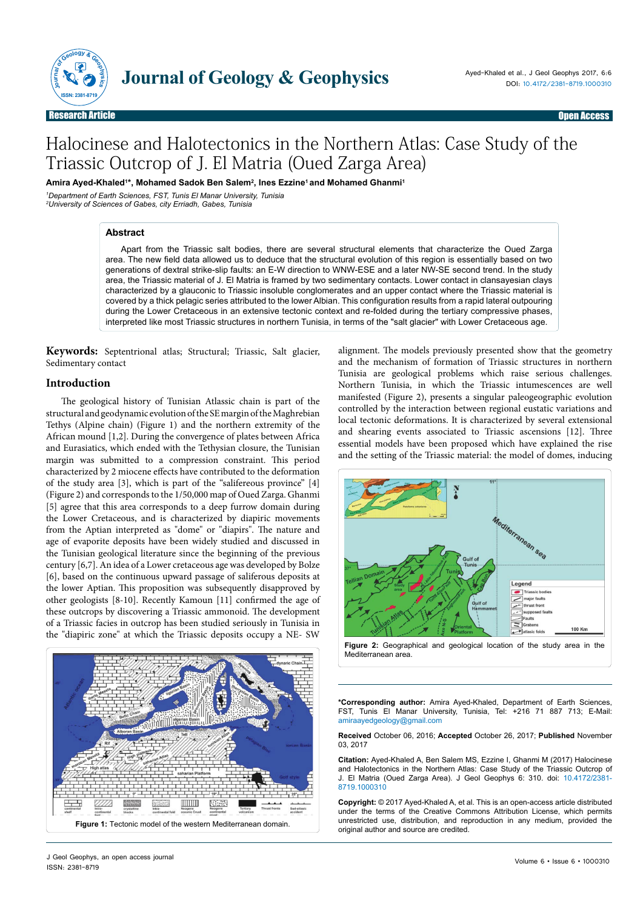

# Halocinese and Halotectonics in the Northern Atlas: Case Study of the Triassic Outcrop of J. El Matria (Oued Zarga Area)

**Amira Ayed-Khaled1 \*, Mohamed Sadok Ben Salem2 , Ines Ezzine1 and Mohamed Ghanmi1**

*1 Department of Earth Sciences, FST, Tunis El Manar University, Tunisia 2 University of Sciences of Gabes, city Erriadh, Gabes, Tunisia*

## **Abstract**

Apart from the Triassic salt bodies, there are several structural elements that characterize the Oued Zarga area. The new field data allowed us to deduce that the structural evolution of this region is essentially based on two generations of dextral strike-slip faults: an E-W direction to WNW-ESE and a later NW-SE second trend. In the study area, the Triassic material of J. El Matria is framed by two sedimentary contacts. Lower contact in clansayesian clays characterized by a glauconic to Triassic insoluble conglomerates and an upper contact where the Triassic material is covered by a thick pelagic series attributed to the lower Albian. This configuration results from a rapid lateral outpouring during the Lower Cretaceous in an extensive tectonic context and re-folded during the tertiary compressive phases, interpreted like most Triassic structures in northern Tunisia, in terms of the "salt glacier" with Lower Cretaceous age.

**Keywords:** Septentrional atlas; Structural; Triassic, Salt glacier, Sedimentary contact

#### **Introduction**

The geological history of Tunisian Atlassic chain is part of the structural and geodynamic evolution of the SE margin of the Maghrebian Tethys (Alpine chain) (Figure 1) and the northern extremity of the African mound [1,2]. During the convergence of plates between Africa and Eurasiatics, which ended with the Tethysian closure, the Tunisian margin was submitted to a compression constraint. This period characterized by 2 miocene effects have contributed to the deformation of the study area [3], which is part of the "salifereous province" [4] (Figure 2) and corresponds to the 1/50,000 map of Oued Zarga. Ghanmi [5] agree that this area corresponds to a deep furrow domain during the Lower Cretaceous, and is characterized by diapiric movements from the Aptian interpreted as "dome" or "diapirs". The nature and age of evaporite deposits have been widely studied and discussed in the Tunisian geological literature since the beginning of the previous century [6,7]. An idea of a Lower cretaceous age was developed by Bolze [6], based on the continuous upward passage of saliferous deposits at the lower Aptian. This proposition was subsequently disapproved by other geologists [8-10]. Recently Kamoun [11] confirmed the age of these outcrops by discovering a Triassic ammonoid. The development of a Triassic facies in outcrop has been studied seriously in Tunisia in the "diapiric zone" at which the Triassic deposits occupy a NE- SW



alignment. The models previously presented show that the geometry and the mechanism of formation of Triassic structures in northern Tunisia are geological problems which raise serious challenges. Northern Tunisia, in which the Triassic intumescences are well manifested (Figure 2), presents a singular paleogeographic evolution controlled by the interaction between regional eustatic variations and local tectonic deformations. It is characterized by several extensional and shearing events associated to Triassic ascensions [12]. Three essential models have been proposed which have explained the rise and the setting of the Triassic material: the model of domes, inducing



**\*Corresponding author:** Amira Ayed-Khaled, Department of Earth Sciences, FST, Tunis El Manar University, Tunisia, Tel: +216 71 887 713; E-Mail: [amiraayedgeology@gmail.com](mailto:amiraayedgeology@gmail.com)

**Received** October 06, 2016; **Accepted** October 26, 2017; **Published** November 03, 2017

**Citation:** Ayed-Khaled A, Ben Salem MS, Ezzine I, Ghanmi M (2017) Halocinese and Halotectonics in the Northern Atlas: Case Study of the Triassic Outcrop of J. El Matria (Oued Zarga Area). J Geol Geophys 6: 310. doi: 10.4172/2381- 8719.1000310

**Copyright:** © 2017 Ayed-Khaled A, et al. This is an open-access article distributed under the terms of the Creative Commons Attribution License, which permits unrestricted use, distribution, and reproduction in any medium, provided the original author and source are credited.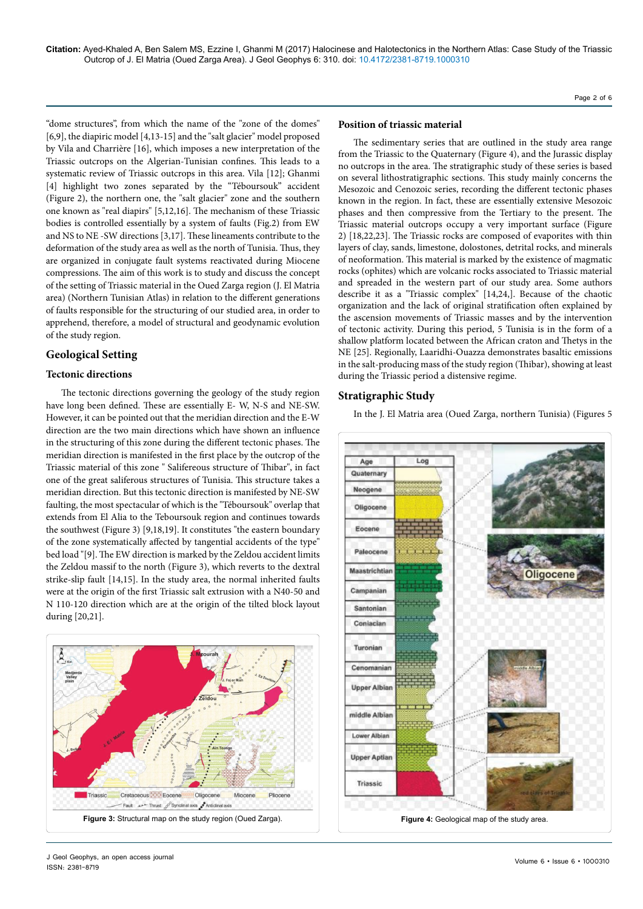"dome structures", from which the name of the "zone of the domes" [6,9], the diapiric model [4,13-15] and the "salt glacier" model proposed by Vila and Charrière [16], which imposes a new interpretation of the Triassic outcrops on the Algerian-Tunisian confines. This leads to a systematic review of Triassic outcrops in this area. Vila [12]; Ghanmi [4] highlight two zones separated by the "Téboursouk" accident (Figure 2), the northern one, the "salt glacier" zone and the southern one known as "real diapirs" [5,12,16]. The mechanism of these Triassic bodies is controlled essentially by a system of faults (Fig.2) from EW and NS to NE -SW directions [3,17]. These lineaments contribute to the deformation of the study area as well as the north of Tunisia. Thus, they are organized in conjugate fault systems reactivated during Miocene compressions. The aim of this work is to study and discuss the concept of the setting of Triassic material in the Oued Zarga region (J. El Matria area) (Northern Tunisian Atlas) in relation to the different generations of faults responsible for the structuring of our studied area, in order to apprehend, therefore, a model of structural and geodynamic evolution of the study region.

# **Geological Setting**

## **Tectonic directions**

The tectonic directions governing the geology of the study region have long been defined. These are essentially E- W, N-S and NE-SW. However, it can be pointed out that the meridian direction and the E-W direction are the two main directions which have shown an influence in the structuring of this zone during the different tectonic phases. The meridian direction is manifested in the first place by the outcrop of the Triassic material of this zone " Salifereous structure of Thibar", in fact one of the great saliferous structures of Tunisia. This structure takes a meridian direction. But this tectonic direction is manifested by NE-SW faulting, the most spectacular of which is the "Téboursouk" overlap that extends from El Alia to the Teboursouk region and continues towards the southwest (Figure 3) [9,18,19]. It constitutes "the eastern boundary of the zone systematically affected by tangential accidents of the type" bed load "[9]. The EW direction is marked by the Zeldou accident limits the Zeldou massif to the north (Figure 3), which reverts to the dextral strike-slip fault [14,15]. In the study area, the normal inherited faults were at the origin of the first Triassic salt extrusion with a N40-50 and N 110-120 direction which are at the origin of the tilted block layout during [20,21].



#### **Position of triassic material**

The sedimentary series that are outlined in the study area range from the Triassic to the Quaternary (Figure 4), and the Jurassic display no outcrops in the area. The stratigraphic study of these series is based on several lithostratigraphic sections. This study mainly concerns the Mesozoic and Cenozoic series, recording the different tectonic phases known in the region. In fact, these are essentially extensive Mesozoic phases and then compressive from the Tertiary to the present. The Triassic material outcrops occupy a very important surface (Figure 2) [18,22,23]. The Triassic rocks are composed of evaporites with thin layers of clay, sands, limestone, dolostones, detrital rocks, and minerals of neoformation. This material is marked by the existence of magmatic rocks (ophites) which are volcanic rocks associated to Triassic material and spreaded in the western part of our study area. Some authors describe it as a "Triassic complex" [14,24,]. Because of the chaotic organization and the lack of original stratification often explained by the ascension movements of Triassic masses and by the intervention of tectonic activity. During this period, 5 Tunisia is in the form of a shallow platform located between the African craton and Thetys in the NE [25]. Regionally, Laaridhi-Ouazza demonstrates basaltic emissions in the salt-producing mass of the study region (Thibar), showing at least during the Triassic period a distensive regime.

### **Stratigraphic Study**

In the J. El Matria area (Oued Zarga, northern Tunisia) (Figures 5

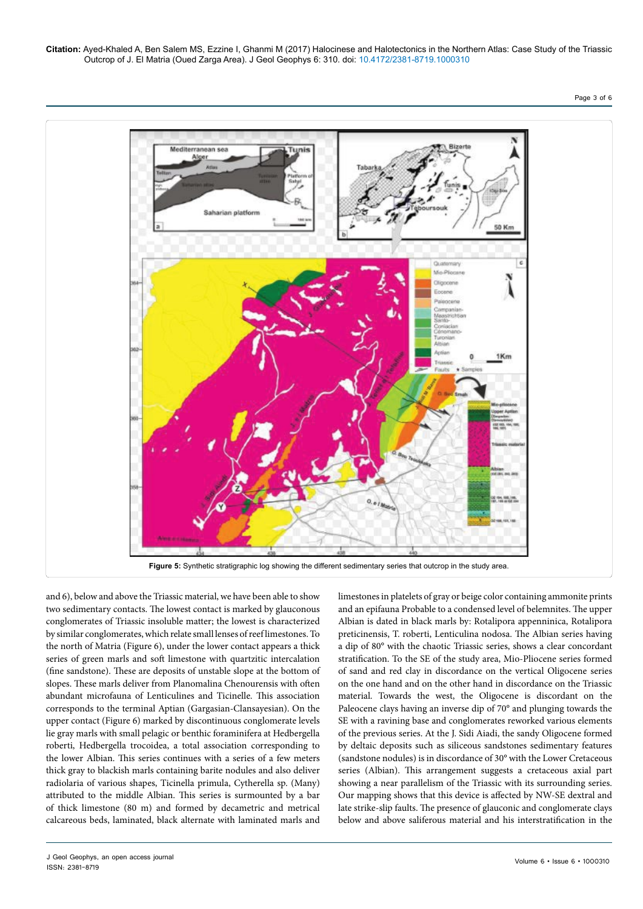



and 6), below and above the Triassic material, we have been able to show two sedimentary contacts. The lowest contact is marked by glauconous conglomerates of Triassic insoluble matter; the lowest is characterized by similar conglomerates, which relate small lenses of reef limestones. To the north of Matria (Figure 6), under the lower contact appears a thick series of green marls and soft limestone with quartzitic intercalation (fine sandstone). These are deposits of unstable slope at the bottom of slopes. These marls deliver from Planomalina Chenourensis with often abundant microfauna of Lenticulines and Ticinelle. This association corresponds to the terminal Aptian (Gargasian-Clansayesian). On the upper contact (Figure 6) marked by discontinuous conglomerate levels lie gray marls with small pelagic or benthic foraminifera at Hedbergella roberti, Hedbergella trocoidea, a total association corresponding to the lower Albian. This series continues with a series of a few meters thick gray to blackish marls containing barite nodules and also deliver radiolaria of various shapes, Ticinella primula, Cytherella sp. (Many) attributed to the middle Albian. This series is surmounted by a bar of thick limestone (80 m) and formed by decametric and metrical calcareous beds, laminated, black alternate with laminated marls and

limestones in platelets of gray or beige color containing ammonite prints and an epifauna Probable to a condensed level of belemnites. The upper Albian is dated in black marls by: Rotalipora appenninica, Rotalipora preticinensis, T. roberti, Lenticulina nodosa. The Albian series having a dip of 80° with the chaotic Triassic series, shows a clear concordant stratification. To the SE of the study area, Mio-Pliocene series formed of sand and red clay in discordance on the vertical Oligocene series on the one hand and on the other hand in discordance on the Triassic material. Towards the west, the Oligocene is discordant on the Paleocene clays having an inverse dip of 70° and plunging towards the SE with a ravining base and conglomerates reworked various elements of the previous series. At the J. Sidi Aiadi, the sandy Oligocene formed by deltaic deposits such as siliceous sandstones sedimentary features (sandstone nodules) is in discordance of 30° with the Lower Cretaceous series (Albian). This arrangement suggests a cretaceous axial part showing a near parallelism of the Triassic with its surrounding series. Our mapping shows that this device is affected by NW-SE dextral and late strike-slip faults. The presence of glauconic and conglomerate clays below and above saliferous material and his interstratification in the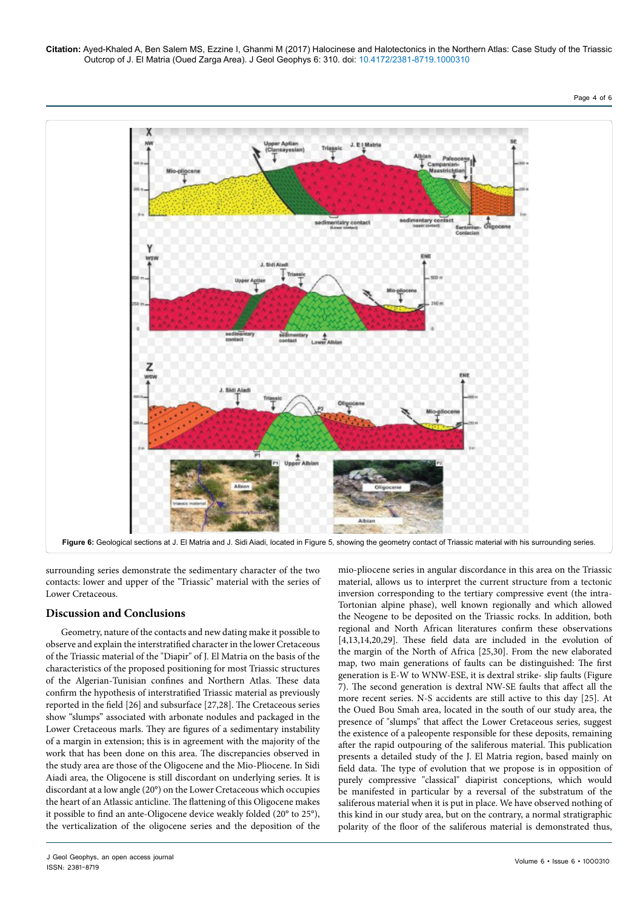**Citation:** Ayed-Khaled A, Ben Salem MS, Ezzine I, Ghanmi M (2017) Halocinese and Halotectonics in the Northern Atlas: Case Study of the Triassic Outcrop of J. El Matria (Oued Zarga Area). J Geol Geophys 6: 310. doi: 10.4172/2381-8719.1000310





surrounding series demonstrate the sedimentary character of the two contacts: lower and upper of the "Triassic" material with the series of Lower Cretaceous.

# **Discussion and Conclusions**

ISSN: 2381-8719

Geometry, nature of the contacts and new dating make it possible to observe and explain the interstratified character in the lower Cretaceous of the Triassic material of the "Diapir" of J. El Matria on the basis of the characteristics of the proposed positioning for most Triassic structures of the Algerian-Tunisian confines and Northern Atlas. These data confirm the hypothesis of interstratified Triassic material as previously reported in the field [26] and subsurface [27,28]. The Cretaceous series show "slumps" associated with arbonate nodules and packaged in the Lower Cretaceous marls. They are figures of a sedimentary instability of a margin in extension; this is in agreement with the majority of the work that has been done on this area. The discrepancies observed in the study area are those of the Oligocene and the Mio-Pliocene. In Sidi Aiadi area, the Oligocene is still discordant on underlying series. It is discordant at a low angle (20°) on the Lower Cretaceous which occupies the heart of an Atlassic anticline. The flattening of this Oligocene makes it possible to find an ante-Oligocene device weakly folded (20° to 25°), the verticalization of the oligocene series and the deposition of the

mio-pliocene series in angular discordance in this area on the Triassic material, allows us to interpret the current structure from a tectonic inversion corresponding to the tertiary compressive event (the intra-Tortonian alpine phase), well known regionally and which allowed the Neogene to be deposited on the Triassic rocks. In addition, both regional and North African literatures confirm these observations [4,13,14,20,29]. These field data are included in the evolution of the margin of the North of Africa [25,30]. From the new elaborated map, two main generations of faults can be distinguished: The first generation is E-W to WNW-ESE, it is dextral strike- slip faults (Figure 7). The second generation is dextral NW-SE faults that affect all the more recent series. N-S accidents are still active to this day [25]. At the Oued Bou Smah area, located in the south of our study area, the presence of "slumps" that affect the Lower Cretaceous series, suggest the existence of a paleopente responsible for these deposits, remaining after the rapid outpouring of the saliferous material. This publication presents a detailed study of the J. El Matria region, based mainly on field data. The type of evolution that we propose is in opposition of purely compressive "classical" diapirist conceptions, which would be manifested in particular by a reversal of the substratum of the saliferous material when it is put in place. We have observed nothing of this kind in our study area, but on the contrary, a normal stratigraphic polarity of the floor of the saliferous material is demonstrated thus,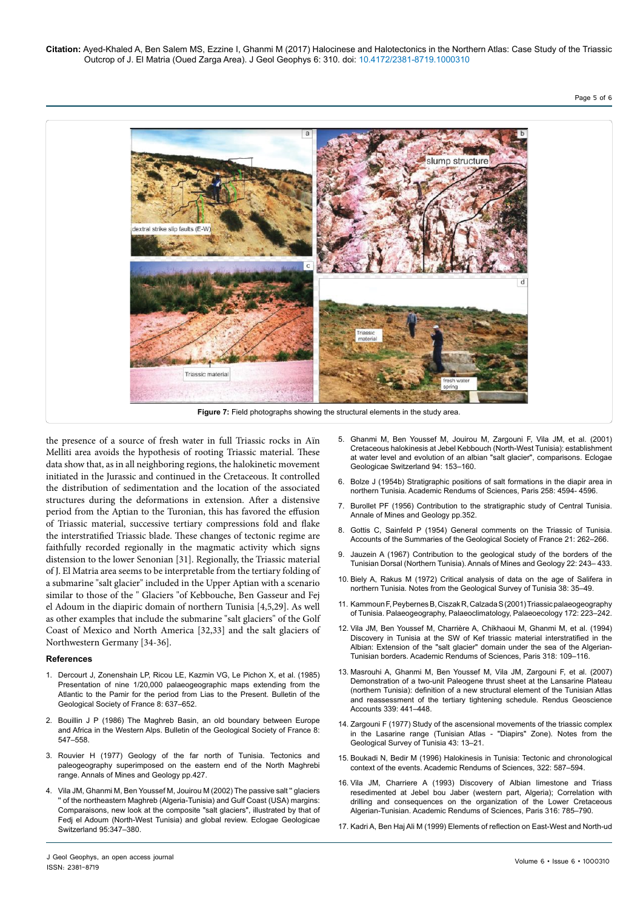```
Page 5 of 6
```


the presence of a source of fresh water in full Triassic rocks in Aïn Melliti area avoids the hypothesis of rooting Triassic material. These data show that, as in all neighboring regions, the halokinetic movement initiated in the Jurassic and continued in the Cretaceous. It controlled the distribution of sedimentation and the location of the associated structures during the deformations in extension. After a distensive period from the Aptian to the Turonian, this has favored the effusion of Triassic material, successive tertiary compressions fold and flake the interstratified Triassic blade. These changes of tectonic regime are faithfully recorded regionally in the magmatic activity which signs distension to the lower Senonian [31]. Regionally, the Triassic material of J. El Matria area seems to be interpretable from the tertiary folding of a submarine "salt glacier" included in the Upper Aptian with a scenario similar to those of the " Glaciers "of Kebbouche, Ben Gasseur and Fej el Adoum in the diapiric domain of northern Tunisia [4,5,29]. As well as other examples that include the submarine "salt glaciers" of the Golf Coast of Mexico and North America [32,33] and the salt glaciers of Northwestern Germany [34-36].

#### **References**

- 1. Dercourt J, Zonenshain LP, Ricou LE, Kazmin VG, Le Pichon X, et al. (1985) Presentation of nine 1/20,000 palaeogeographic maps extending from the Atlantic to the Pamir for the period from Lias to the Present. Bulletin of the Geological Society of France 8: 637–652.
- 2. Bouillin J P (1986) The Maghreb Basin, an old boundary between Europe and Africa in the Western Alps. Bulletin of the Geological Society of France 8: 547–558.
- 3. Rouvier H (1977) Geology of the far north of Tunisia. Tectonics and paleogeography superimposed on the eastern end of the North Maghrebi range. Annals of Mines and Geology pp.427.
- 4. Vila JM, Ghanmi M, Ben Youssef M, Jouirou M (2002) The passive salt '' glaciers '' of the northeastern Maghreb (Algeria-Tunisia) and Gulf Coast (USA) margins: Comparaisons, new look at the composite "salt glaciers", illustrated by that of Fedj el Adoum (North-West Tunisia) and global review. Eclogae Geologicae Switzerland 95:347–380.
- 5. Ghanmi M, Ben Youssef M, Jouirou M, Zargouni F, Vila JM, et al. (2001) Cretaceous halokinesis at Jebel Kebbouch (North-West Tunisia): establishment at water level and evolution of an albian "salt glacier", comparisons. Eclogae Geologicae Switzerland 94: 153–160.
- 6. Bolze J (1954b) Stratigraphic positions of salt formations in the diapir area in northern Tunisia. Academic Rendums of Sciences, Paris 258: 4594- 4596.
- Burollet PF (1956) Contribution to the stratigraphic study of Central Tunisia. Annale of Mines and Geology pp.352.
- 8. Gottis C, Sainfeld P (1954) General comments on the Triassic of Tunisia. Accounts of the Summaries of the Geological Society of France 21: 262–266.
- 9. Jauzein A (1967) Contribution to the geological study of the borders of the Tunisian Dorsal (Northern Tunisia). Annals of Mines and Geology 22: 243– 433.
- 10. Biely A, Rakus M (1972) Critical analysis of data on the age of Salifera in northern Tunisia. Notes from the Geological Survey of Tunisia 38: 35–49.
- 11. [Kammoun F, Peybernes B, Ciszak R, Calzada S \(2001\) Triassic palaeogeography](http://dx.doi.org/10.1016/S0031-0182(01)00283-8)  [of Tunisia. Palaeogeography, Palaeoclimatology, Palaeoecology 172: 223–242.](http://dx.doi.org/10.1016/S0031-0182(01)00283-8)
- 12. Vila JM, Ben Youssef M, Charrière A, Chikhaoui M, Ghanmi M, et al. (1994) Discovery in Tunisia at the SW of Kef triassic material interstratified in the Albian: Extension of the "salt glacier" domain under the sea of the Algerian-Tunisian borders. Academic Rendums of Sciences, Paris 318: 109–116.
- 13. Masrouhi A, Ghanmi M, Ben Youssef M, Vila JM, Zargouni F, et al. (2007) Demonstration of a two-unit Paleogene thrust sheet at the Lansarine Plateau (northern Tunisia): definition of a new structural element of the Tunisian Atlas and reassessment of the tertiary tightening schedule. Rendus Geoscience Accounts 339: 441–448.
- 14. Zargouni F (1977) Study of the ascensional movements of the triassic complex in the Lasarine range (Tunisian Atlas - "Diapirs" Zone). Notes from the Geological Survey of Tunisia 43: 13–21.
- 15. Boukadi N, Bedir M (1996) Halokinesis in Tunisia: Tectonic and chronological context of the events. Academic Rendums of Sciences, 322: 587–594.
- 16. Vila JM, Charriere A (1993) Discovery of Albian limestone and Triass resedimented at Jebel bou Jaber (western part, Algeria); Correlation with drilling and consequences on the organization of the Lower Cretaceous Algerian-Tunisian. Academic Rendums of Sciences, Paris 316: 785–790.
- 17. Kadri A, Ben Haj Ali M (1999) Elements of reflection on East-West and North-ud